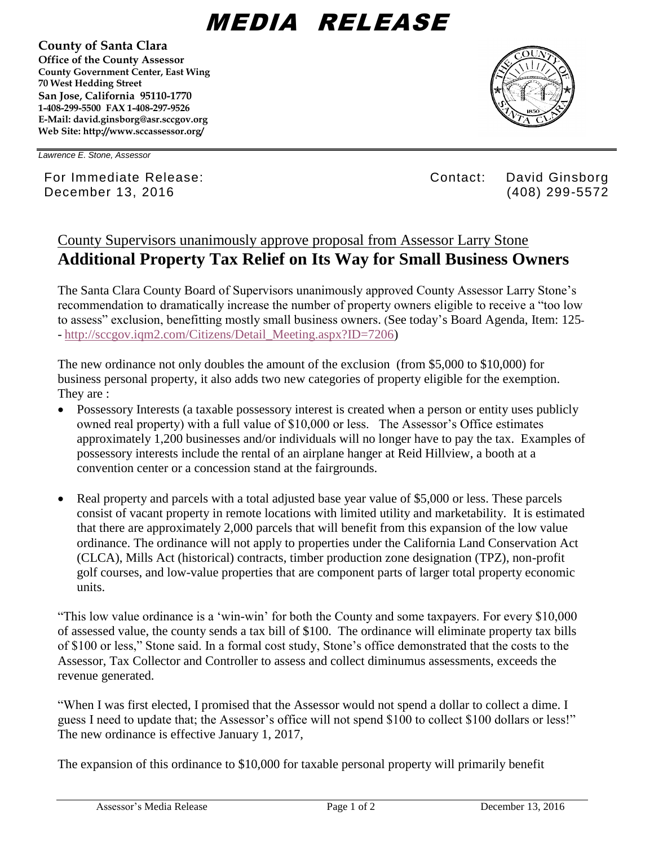## MEDIA RELEASE

**County of Santa Clara Office of the County Assessor County Government Center, East Wing 70 West Hedding Street San Jose, California 95110-1770 1-408-299-5500 FAX 1-408-297-9526 E-Mail: david.ginsborg@asr.sccgov.org Web Site: http://www.sccassessor.org/**



*Lawrence E. Stone, Assessor*

For Immediate Release: Contact: David Ginsborg December 13, 2016 (408) 299-5572

## County Supervisors unanimously approve proposal from Assessor Larry Stone **Additional Property Tax Relief on Its Way for Small Business Owners**

The Santa Clara County Board of Supervisors unanimously approved County Assessor Larry Stone's recommendation to dramatically increase the number of property owners eligible to receive a "too low to assess" exclusion, benefitting mostly small business owners. (See today's Board Agenda, Item: 125- - [http://sccgov.iqm2.com/Citizens/Detail\\_Meeting.aspx?ID=7206\)](http://sccgov.iqm2.com/Citizens/Detail_Meeting.aspx?ID=7206)

The new ordinance not only doubles the amount of the exclusion (from \$5,000 to \$10,000) for business personal property, it also adds two new categories of property eligible for the exemption. They are :

- Possessory Interests (a taxable possessory interest is created when a person or entity uses publicly owned real property) with a full value of \$10,000 or less. The Assessor's Office estimates approximately 1,200 businesses and/or individuals will no longer have to pay the tax. Examples of possessory interests include the rental of an airplane hanger at Reid Hillview, a booth at a convention center or a concession stand at the fairgrounds.
- Real property and parcels with a total adjusted base year value of \$5,000 or less. These parcels consist of vacant property in remote locations with limited utility and marketability. It is estimated that there are approximately 2,000 parcels that will benefit from this expansion of the low value ordinance. The ordinance will not apply to properties under the California Land Conservation Act (CLCA), Mills Act (historical) contracts, timber production zone designation (TPZ), non-profit golf courses, and low-value properties that are component parts of larger total property economic units.

"This low value ordinance is a 'win-win' for both the County and some taxpayers. For every \$10,000 of assessed value, the county sends a tax bill of \$100. The ordinance will eliminate property tax bills of \$100 or less," Stone said. In a formal cost study, Stone's office demonstrated that the costs to the Assessor, Tax Collector and Controller to assess and collect diminumus assessments, exceeds the revenue generated.

"When I was first elected, I promised that the Assessor would not spend a dollar to collect a dime. I guess I need to update that; the Assessor's office will not spend \$100 to collect \$100 dollars or less!" The new ordinance is effective January 1, 2017,

The expansion of this ordinance to \$10,000 for taxable personal property will primarily benefit